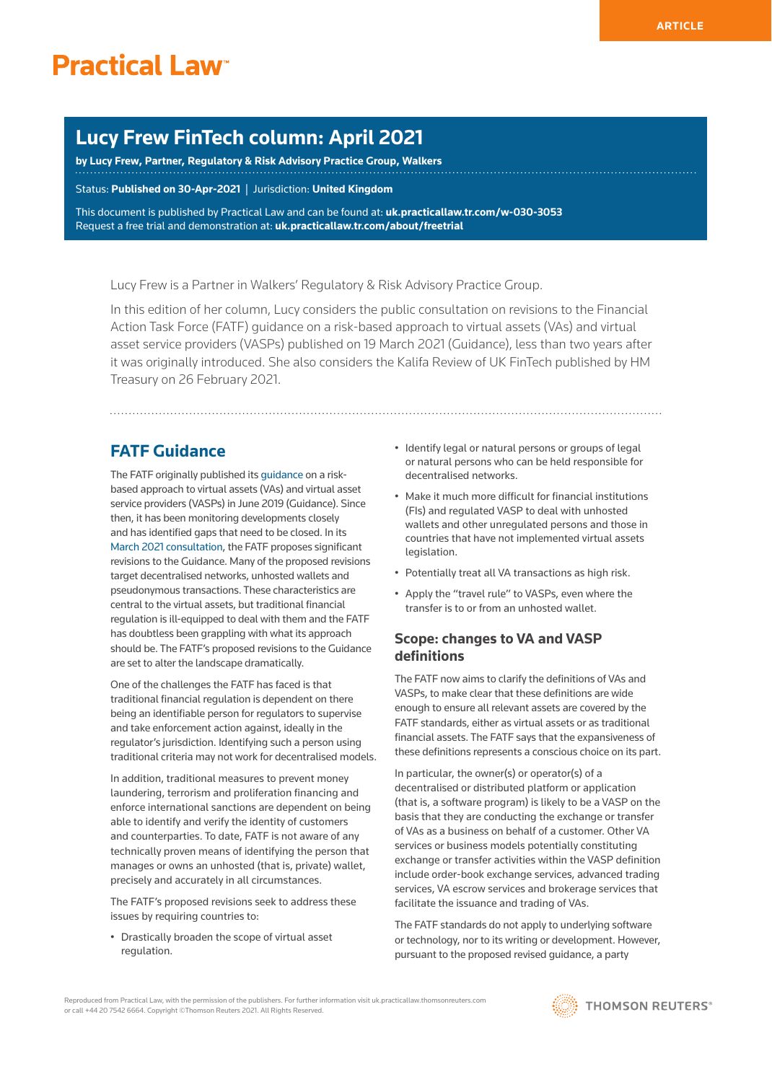# **Lucy Frew FinTech column: April 2021**

**by [Lucy Frew](http://www.walkersglobal.com/index.php/component/people/professional/310), Partner, Regulatory & Risk Advisory Practice Group, Walkers**

Status: **Published on 30-Apr-2021** | Jurisdiction: **United Kingdom**

This document is published by Practical Law and can be found at: **[uk.practicallaw.tr.com/w-030-3053](http://uk.practicallaw.tr.com/w-030-3053)** Request a free trial and demonstration at: **[uk.practicallaw.tr.com/about/freetrial](http://uk.practicallaw.tr.com/about/freetrial)**

Lucy Frew is a Partner in Walkers' Regulatory & Risk Advisory Practice Group.

In this edition of her column, Lucy considers the public consultation on revisions to the Financial Action Task Force (FATF) guidance on a risk-based approach to virtual assets (VAs) and virtual asset service providers (VASPs) published on 19 March 2021 (Guidance), less than two years after it was originally introduced. She also considers the Kalifa Review of UK FinTech published by HM Treasury on 26 February 2021.

## **FATF Guidance**

The FATF originally published its [guidance](https://www.fatf-gafi.org/media/fatf/documents/recommendations/RBA-VA-VASPs.pdf) on a riskbased approach to virtual assets (VAs) and virtual asset service providers (VASPs) in June 2019 (Guidance). Since then, it has been monitoring developments closely and has identified gaps that need to be closed. In its [March 2021 consultation,](http://www.fatf-gafi.org/media/fatf/documents/recommendations/March%202021%20-%20VA%20Guidance%20update%20-%20Sixth%20draft%20-%20Public%20consultation.pdf) the FATF proposes significant revisions to the Guidance. Many of the proposed revisions target decentralised networks, unhosted wallets and pseudonymous transactions. These characteristics are central to the virtual assets, but traditional financial regulation is ill-equipped to deal with them and the FATF has doubtless been grappling with what its approach should be. The FATF's proposed revisions to the Guidance are set to alter the landscape dramatically.

One of the challenges the FATF has faced is that traditional financial regulation is dependent on there being an identifiable person for regulators to supervise and take enforcement action against, ideally in the regulator's jurisdiction. Identifying such a person using traditional criteria may not work for decentralised models.

In addition, traditional measures to prevent money laundering, terrorism and proliferation financing and enforce international sanctions are dependent on being able to identify and verify the identity of customers and counterparties. To date, FATF is not aware of any technically proven means of identifying the person that manages or owns an unhosted (that is, private) wallet, precisely and accurately in all circumstances.

The FATF's proposed revisions seek to address these issues by requiring countries to:

• Drastically broaden the scope of virtual asset regulation.

- Identify legal or natural persons or groups of legal or natural persons who can be held responsible for decentralised networks.
- Make it much more difficult for financial institutions (FIs) and regulated VASP to deal with unhosted wallets and other unregulated persons and those in countries that have not implemented virtual assets legislation.
- Potentially treat all VA transactions as high risk.
- Apply the "travel rule" to VASPs, even where the transfer is to or from an unhosted wallet.

### **Scope: changes to VA and VASP definitions**

The FATF now aims to clarify the definitions of VAs and VASPs, to make clear that these definitions are wide enough to ensure all relevant assets are covered by the FATF standards, either as virtual assets or as traditional financial assets. The FATF says that the expansiveness of these definitions represents a conscious choice on its part.

In particular, the owner(s) or operator(s) of a decentralised or distributed platform or application (that is, a software program) is likely to be a VASP on the basis that they are conducting the exchange or transfer of VAs as a business on behalf of a customer. Other VA services or business models potentially constituting exchange or transfer activities within the VASP definition include order-book exchange services, advanced trading services, VA escrow services and brokerage services that facilitate the issuance and trading of VAs.

The FATF standards do not apply to underlying software or technology, nor to its writing or development. However, pursuant to the proposed revised guidance, a party

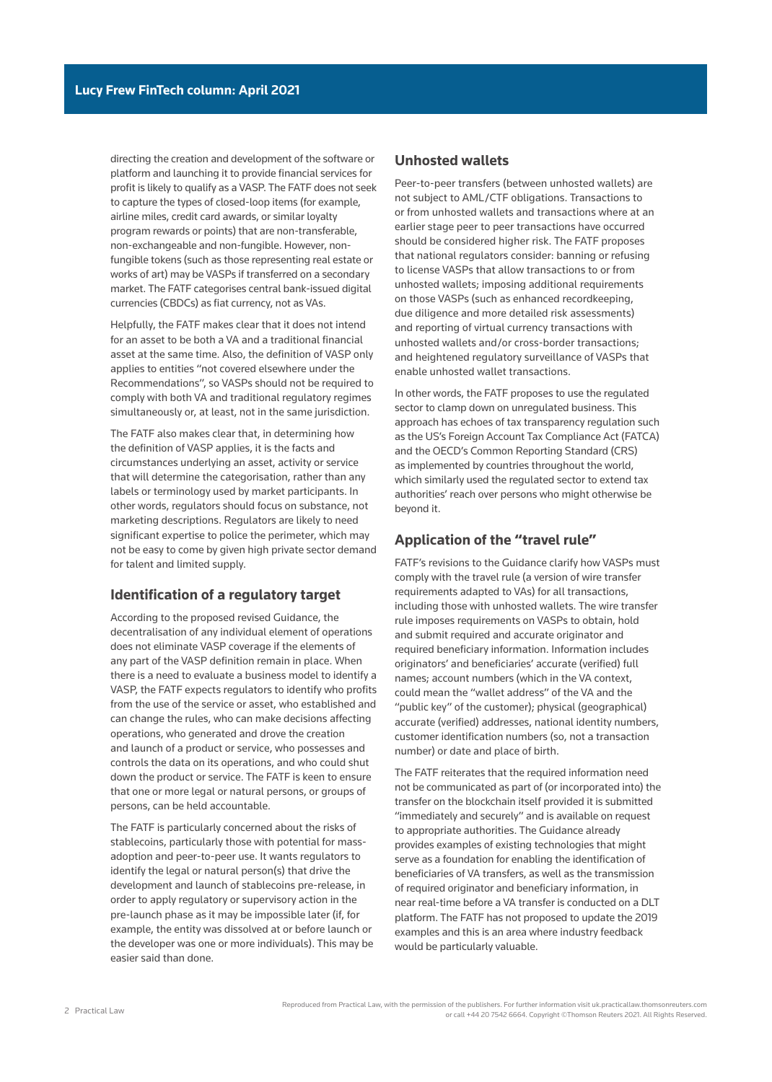directing the creation and development of the software or platform and launching it to provide financial services for profit is likely to qualify as a VASP. The FATF does not seek to capture the types of closed-loop items (for example, airline miles, credit card awards, or similar loyalty program rewards or points) that are non-transferable, non-exchangeable and non-fungible. However, nonfungible tokens (such as those representing real estate or works of art) may be VASPs if transferred on a secondary market. The FATF categorises central bank-issued digital currencies (CBDCs) as fiat currency, not as VAs.

Helpfully, the FATF makes clear that it does not intend for an asset to be both a VA and a traditional financial asset at the same time. Also, the definition of VASP only applies to entities "not covered elsewhere under the Recommendations", so VASPs should not be required to comply with both VA and traditional regulatory regimes simultaneously or, at least, not in the same jurisdiction.

The FATF also makes clear that, in determining how the definition of VASP applies, it is the facts and circumstances underlying an asset, activity or service that will determine the categorisation, rather than any labels or terminology used by market participants. In other words, regulators should focus on substance, not marketing descriptions. Regulators are likely to need significant expertise to police the perimeter, which may not be easy to come by given high private sector demand for talent and limited supply.

#### **Identification of a regulatory target**

According to the proposed revised Guidance, the decentralisation of any individual element of operations does not eliminate VASP coverage if the elements of any part of the VASP definition remain in place. When there is a need to evaluate a business model to identify a VASP, the FATF expects regulators to identify who profits from the use of the service or asset, who established and can change the rules, who can make decisions affecting operations, who generated and drove the creation and launch of a product or service, who possesses and controls the data on its operations, and who could shut down the product or service. The FATF is keen to ensure that one or more legal or natural persons, or groups of persons, can be held accountable.

The FATF is particularly concerned about the risks of stablecoins, particularly those with potential for massadoption and peer-to-peer use. It wants regulators to identify the legal or natural person(s) that drive the development and launch of stablecoins pre-release, in order to apply regulatory or supervisory action in the pre-launch phase as it may be impossible later (if, for example, the entity was dissolved at or before launch or the developer was one or more individuals). This may be easier said than done.

#### **Unhosted wallets**

Peer-to-peer transfers (between unhosted wallets) are not subject to AML/CTF obligations. Transactions to or from unhosted wallets and transactions where at an earlier stage peer to peer transactions have occurred should be considered higher risk. The FATF proposes that national regulators consider: banning or refusing to license VASPs that allow transactions to or from unhosted wallets; imposing additional requirements on those VASPs (such as enhanced recordkeeping, due diligence and more detailed risk assessments) and reporting of virtual currency transactions with unhosted wallets and/or cross-border transactions; and heightened regulatory surveillance of VASPs that enable unhosted wallet transactions.

In other words, the FATF proposes to use the regulated sector to clamp down on unregulated business. This approach has echoes of tax transparency regulation such as the US's Foreign Account Tax Compliance Act (FATCA) and the OECD's Common Reporting Standard (CRS) as implemented by countries throughout the world, which similarly used the regulated sector to extend tax authorities' reach over persons who might otherwise be beyond it.

#### **Application of the "travel rule"**

FATF's revisions to the Guidance clarify how VASPs must comply with the travel rule (a version of wire transfer requirements adapted to VAs) for all transactions, including those with unhosted wallets. The wire transfer rule imposes requirements on VASPs to obtain, hold and submit required and accurate originator and required beneficiary information. Information includes originators' and beneficiaries' accurate (verified) full names; account numbers (which in the VA context, could mean the "wallet address" of the VA and the "public key" of the customer); physical (geographical) accurate (verified) addresses, national identity numbers, customer identification numbers (so, not a transaction number) or date and place of birth.

The FATF reiterates that the required information need not be communicated as part of (or incorporated into) the transfer on the blockchain itself provided it is submitted "immediately and securely" and is available on request to appropriate authorities. The Guidance already provides examples of existing technologies that might serve as a foundation for enabling the identification of beneficiaries of VA transfers, as well as the transmission of required originator and beneficiary information, in near real-time before a VA transfer is conducted on a DLT platform. The FATF has not proposed to update the 2019 examples and this is an area where industry feedback would be particularly valuable.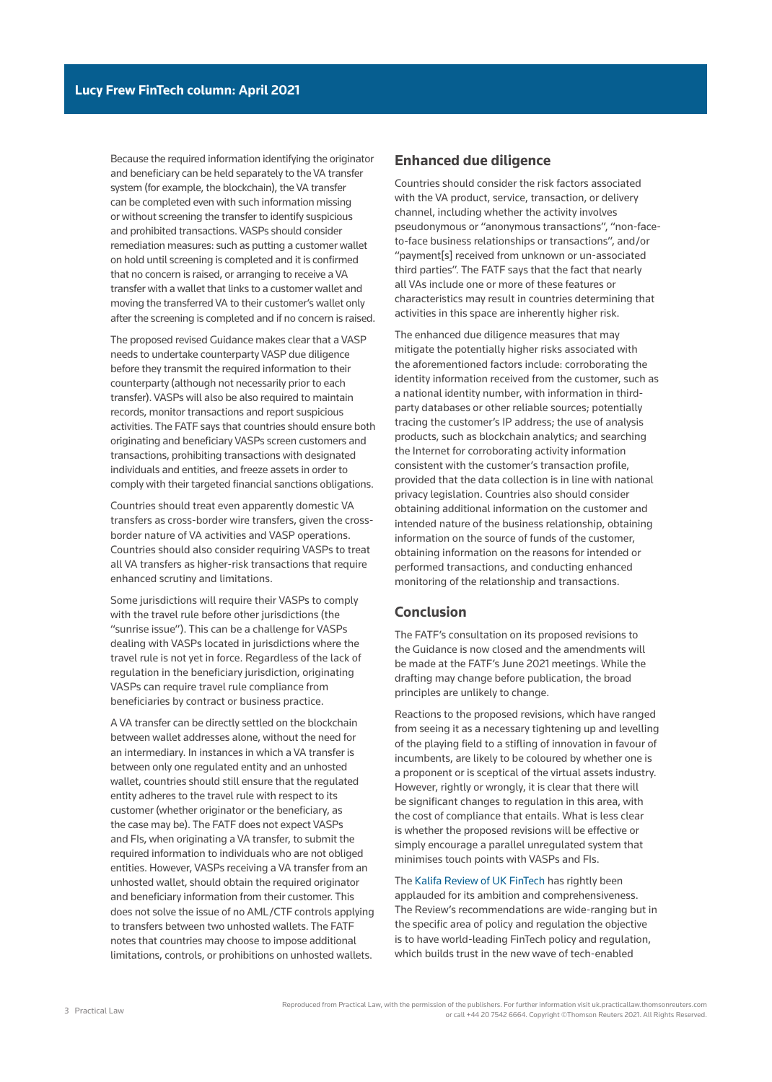Because the required information identifying the originator and beneficiary can be held separately to the VA transfer system (for example, the blockchain), the VA transfer can be completed even with such information missing or without screening the transfer to identify suspicious and prohibited transactions. VASPs should consider remediation measures: such as putting a customer wallet on hold until screening is completed and it is confirmed that no concern is raised, or arranging to receive a VA transfer with a wallet that links to a customer wallet and moving the transferred VA to their customer's wallet only after the screening is completed and if no concern is raised.

The proposed revised Guidance makes clear that a VASP needs to undertake counterparty VASP due diligence before they transmit the required information to their counterparty (although not necessarily prior to each transfer). VASPs will also be also required to maintain records, monitor transactions and report suspicious activities. The FATF says that countries should ensure both originating and beneficiary VASPs screen customers and transactions, prohibiting transactions with designated individuals and entities, and freeze assets in order to comply with their targeted financial sanctions obligations.

Countries should treat even apparently domestic VA transfers as cross-border wire transfers, given the crossborder nature of VA activities and VASP operations. Countries should also consider requiring VASPs to treat all VA transfers as higher-risk transactions that require enhanced scrutiny and limitations.

Some jurisdictions will require their VASPs to comply with the travel rule before other jurisdictions (the "sunrise issue"). This can be a challenge for VASPs dealing with VASPs located in jurisdictions where the travel rule is not yet in force. Regardless of the lack of regulation in the beneficiary jurisdiction, originating VASPs can require travel rule compliance from beneficiaries by contract or business practice.

A VA transfer can be directly settled on the blockchain between wallet addresses alone, without the need for an intermediary. In instances in which a VA transfer is between only one regulated entity and an unhosted wallet, countries should still ensure that the regulated entity adheres to the travel rule with respect to its customer (whether originator or the beneficiary, as the case may be). The FATF does not expect VASPs and FIs, when originating a VA transfer, to submit the required information to individuals who are not obliged entities. However, VASPs receiving a VA transfer from an unhosted wallet, should obtain the required originator and beneficiary information from their customer. This does not solve the issue of no AML/CTF controls applying to transfers between two unhosted wallets. The FATF notes that countries may choose to impose additional limitations, controls, or prohibitions on unhosted wallets.

#### **Enhanced due diligence**

Countries should consider the risk factors associated with the VA product, service, transaction, or delivery channel, including whether the activity involves pseudonymous or "anonymous transactions", "non-faceto-face business relationships or transactions", and/or "payment[s] received from unknown or un-associated third parties". The FATF says that the fact that nearly all VAs include one or more of these features or characteristics may result in countries determining that activities in this space are inherently higher risk.

The enhanced due diligence measures that may mitigate the potentially higher risks associated with the aforementioned factors include: corroborating the identity information received from the customer, such as a national identity number, with information in thirdparty databases or other reliable sources; potentially tracing the customer's IP address; the use of analysis products, such as blockchain analytics; and searching the Internet for corroborating activity information consistent with the customer's transaction profile, provided that the data collection is in line with national privacy legislation. Countries also should consider obtaining additional information on the customer and intended nature of the business relationship, obtaining information on the source of funds of the customer, obtaining information on the reasons for intended or performed transactions, and conducting enhanced monitoring of the relationship and transactions.

#### **Conclusion**

The FATF's consultation on its proposed revisions to the Guidance is now closed and the amendments will be made at the FATF's June 2021 meetings. While the drafting may change before publication, the broad principles are unlikely to change.

Reactions to the proposed revisions, which have ranged from seeing it as a necessary tightening up and levelling of the playing field to a stifling of innovation in favour of incumbents, are likely to be coloured by whether one is a proponent or is sceptical of the virtual assets industry. However, rightly or wrongly, it is clear that there will be significant changes to regulation in this area, with the cost of compliance that entails. What is less clear is whether the proposed revisions will be effective or simply encourage a parallel unregulated system that minimises touch points with VASPs and FIs.

The [Kalifa Review of UK FinTech](https://assets.publishing.service.gov.uk/government/uploads/system/uploads/attachment_data/file/978396/KalifaReviewofUKFintech01.pdf) has rightly been applauded for its ambition and comprehensiveness. The Review's recommendations are wide-ranging but in the specific area of policy and regulation the objective is to have world-leading FinTech policy and regulation, which builds trust in the new wave of tech-enabled